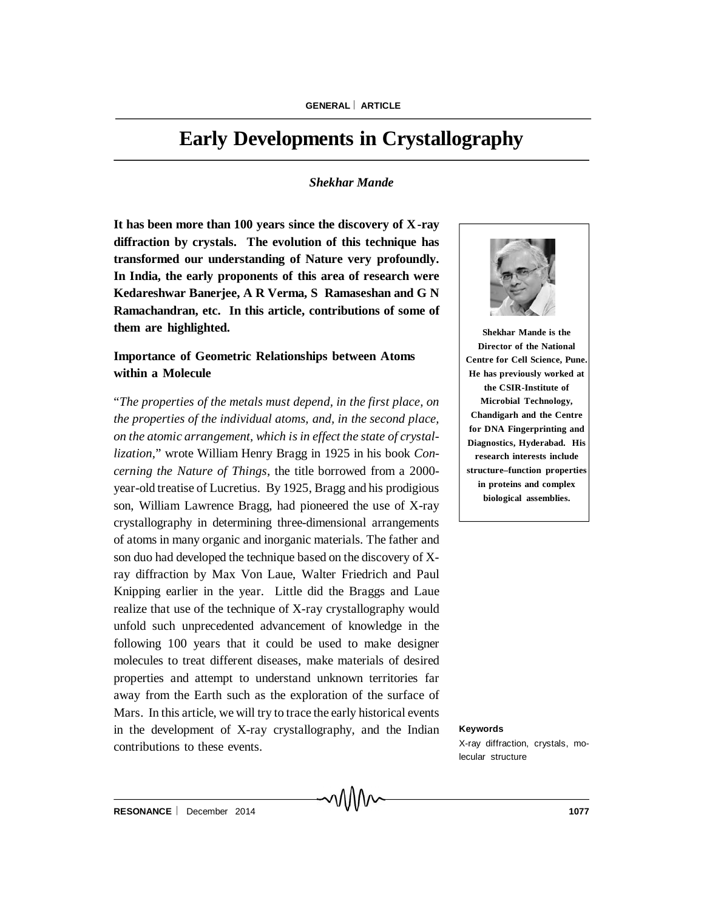# **Early Developments in Crystallography**

#### *Shekhar Mande*

**It has been more than 100 years since the discovery of X-ray diffraction by crystals. The evolution of this technique has transformed our understanding of Nature very profoundly. In India, the early proponents of this area of research were Kedareshwar Banerjee, A R Verma, S Ramaseshan and G N Ramachandran, etc. In this article, contributions of some of them are highlighted.**

### **Importance of Geometric Relationships between Atoms within a Molecule**

"*The properties of the metals must depend, in the first place, on the properties of the individual atoms, and, in the second place, on the atomic arrangement, which is in effect the state of crystallization,*" wrote William Henry Bragg in 1925 in his book *Concerning the Nature of Things*, the title borrowed from a 2000 year-old treatise of Lucretius. By 1925, Bragg and his prodigious son, William Lawrence Bragg, had pioneered the use of X-ray crystallography in determining three-dimensional arrangements of atoms in many organic and inorganic materials. The father and son duo had developed the technique based on the discovery of Xray diffraction by Max Von Laue, Walter Friedrich and Paul Knipping earlier in the year. Little did the Braggs and Laue realize that use of the technique of X-ray crystallography would unfold such unprecedented advancement of knowledge in the following 100 years that it could be used to make designer molecules to treat different diseases, make materials of desired properties and attempt to understand unknown territories far away from the Earth such as the exploration of the surface of Mars. In this article, we will try to trace the early historical events in the development of X-ray crystallography, and the Indian contributions to these events.



**Shekhar Mande is the Director of the National Centre for Cell Science, Pune. He has previously worked at the CSIR-Institute of Microbial Technology, Chandigarh and the Centre for DNA Fingerprinting and Diagnostics, Hyderabad. His research interests include structure–function properties in proteins and complex biological assemblies.**

**Keywords** X-ray diffraction, crystals, molecular structure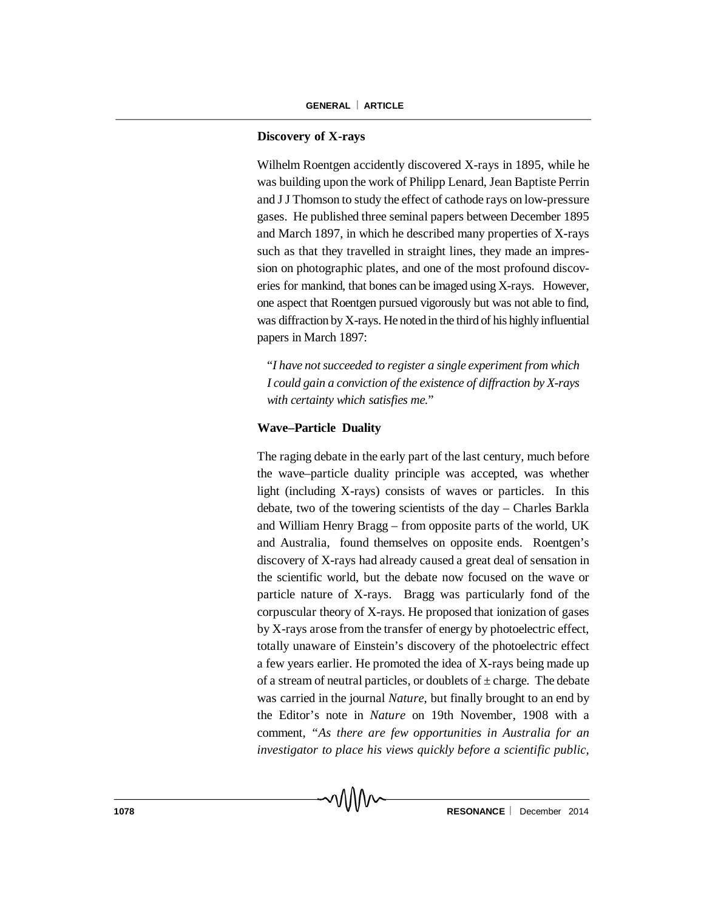#### **Discovery of X-rays**

Wilhelm Roentgen accidently discovered X-rays in 1895, while he was building upon the work of Philipp Lenard, Jean Baptiste Perrin and J J Thomson to study the effect of cathode rays on low-pressure gases. He published three seminal papers between December 1895 and March 1897, in which he described many properties of X-rays such as that they travelled in straight lines, they made an impression on photographic plates, and one of the most profound discoveries for mankind, that bones can be imaged using X-rays. However, one aspect that Roentgen pursued vigorously but was not able to find, was diffraction by X-rays. He noted in the third of his highly influential papers in March 1897:

"*I have not succeeded to register a single experiment from which I could gain a conviction of the existence of diffraction by X-rays with certainty which satisfies me.*"

#### **Wave–Particle Duality**

The raging debate in the early part of the last century, much before the wave–particle duality principle was accepted, was whether light (including X-rays) consists of waves or particles. In this debate, two of the towering scientists of the day – Charles Barkla and William Henry Bragg – from opposite parts of the world, UK and Australia, found themselves on opposite ends. Roentgen's discovery of X-rays had already caused a great deal of sensation in the scientific world, but the debate now focused on the wave or particle nature of X-rays. Bragg was particularly fond of the corpuscular theory of X-rays. He proposed that ionization of gases by X-rays arose from the transfer of energy by photoelectric effect, totally unaware of Einstein's discovery of the photoelectric effect a few years earlier. He promoted the idea of X-rays being made up of a stream of neutral particles, or doublets of  $\pm$  charge. The debate was carried in the journal *Nature*, but finally brought to an end by the Editor's note in *Nature* on 19th November, 1908 with a comment, *"As there are few opportunities in Australia for an investigator to place his views quickly before a scientific public,*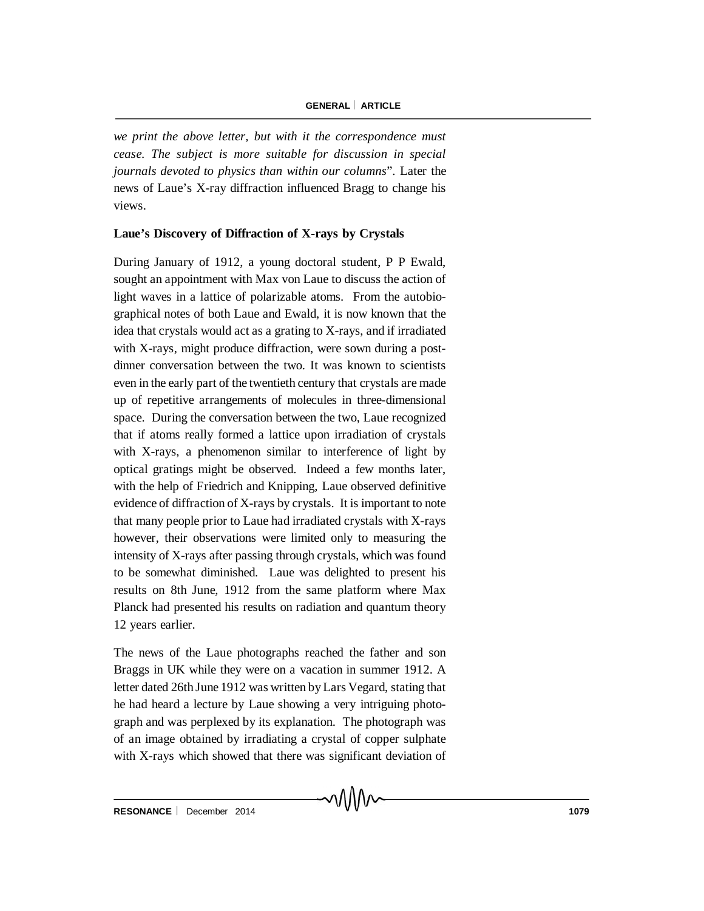*we print the above letter, but with it the correspondence must cease. The subject is more suitable for discussion in special journals devoted to physics than within our columns*". Later the news of Laue's X-ray diffraction influenced Bragg to change his views.

#### **Laue's Discovery of Diffraction of X-rays by Crystals**

During January of 1912, a young doctoral student, P P Ewald, sought an appointment with Max von Laue to discuss the action of light waves in a lattice of polarizable atoms. From the autobiographical notes of both Laue and Ewald, it is now known that the idea that crystals would act as a grating to X-rays, and if irradiated with X-rays, might produce diffraction, were sown during a postdinner conversation between the two. It was known to scientists even in the early part of the twentieth century that crystals are made up of repetitive arrangements of molecules in three-dimensional space. During the conversation between the two, Laue recognized that if atoms really formed a lattice upon irradiation of crystals with X-rays, a phenomenon similar to interference of light by optical gratings might be observed. Indeed a few months later, with the help of Friedrich and Knipping, Laue observed definitive evidence of diffraction of X-rays by crystals. It is important to note that many people prior to Laue had irradiated crystals with X-rays however, their observations were limited only to measuring the intensity of X-rays after passing through crystals, which was found to be somewhat diminished. Laue was delighted to present his results on 8th June, 1912 from the same platform where Max Planck had presented his results on radiation and quantum theory 12 years earlier.

The news of the Laue photographs reached the father and son Braggs in UK while they were on a vacation in summer 1912. A letter dated 26th June 1912 was written by Lars Vegard, stating that he had heard a lecture by Laue showing a very intriguing photograph and was perplexed by its explanation. The photograph was of an image obtained by irradiating a crystal of copper sulphate with X-rays which showed that there was significant deviation of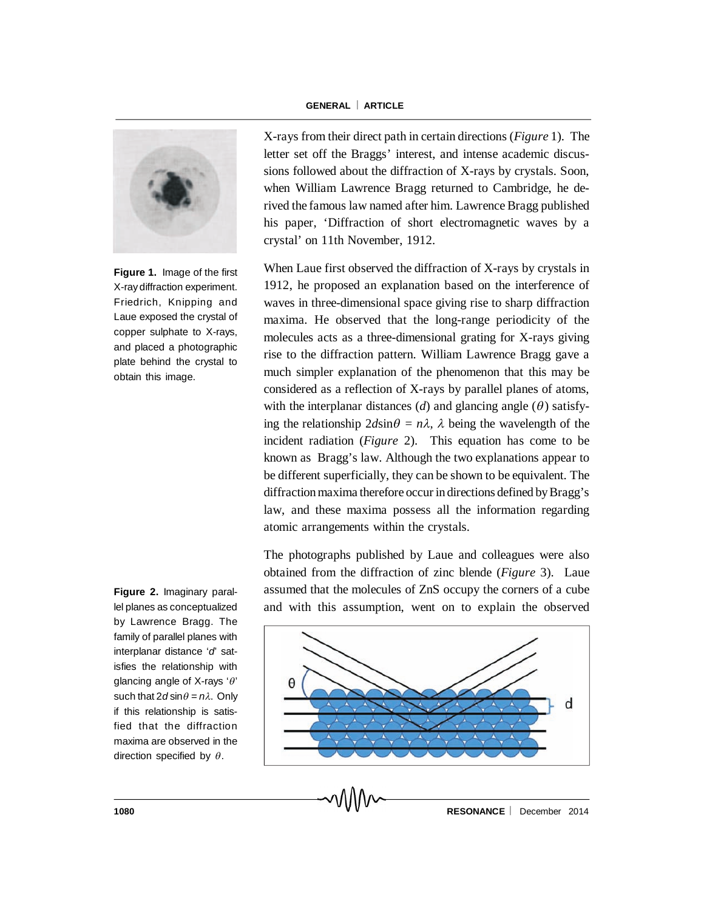

**Figure 1.** Image of the first X-ray diffraction experiment. Friedrich, Knipping and Laue exposed the crystal of copper sulphate to X-rays, and placed a photographic plate behind the crystal to obtain this image.



X-rays from their direct path in certain directions (*Figure* 1). The letter set off the Braggs' interest, and intense academic discussions followed about the diffraction of X-rays by crystals. Soon, when William Lawrence Bragg returned to Cambridge, he derived the famous law named after him. Lawrence Bragg published his paper, 'Diffraction of short electromagnetic waves by a crystal' on 11th November, 1912.

When Laue first observed the diffraction of X-rays by crystals in 1912, he proposed an explanation based on the interference of waves in three-dimensional space giving rise to sharp diffraction maxima. He observed that the long-range periodicity of the molecules acts as a three-dimensional grating for X-rays giving rise to the diffraction pattern. William Lawrence Bragg gave a much simpler explanation of the phenomenon that this may be considered as a reflection of X-rays by parallel planes of atoms, with the interplanar distances (*d*) and glancing angle ( $\theta$ ) satisfying the relationship  $2d\sin\theta = n\lambda$ ,  $\lambda$  being the wavelength of the incident radiation (*Figure* 2). This equation has come to be known as Bragg's law. Although the two explanations appear to be different superficially, they can be shown to be equivalent. The diffraction maxima therefore occur in directions defined by Bragg's law, and these maxima possess all the information regarding atomic arrangements within the crystals.

The photographs published by Laue and colleagues were also obtained from the diffraction of zinc blende (*Figure* 3). Laue assumed that the molecules of ZnS occupy the corners of a cube and with this assumption, went on to explain the observed

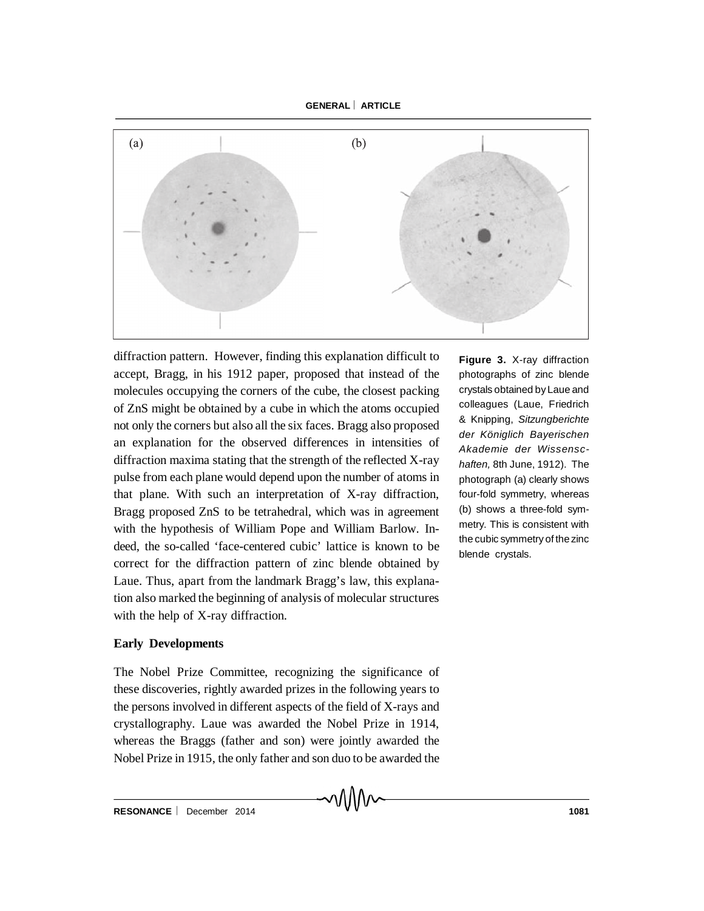

diffraction pattern. However, finding this explanation difficult to accept, Bragg, in his 1912 paper, proposed that instead of the molecules occupying the corners of the cube, the closest packing of ZnS might be obtained by a cube in which the atoms occupied not only the corners but also all the six faces. Bragg also proposed an explanation for the observed differences in intensities of diffraction maxima stating that the strength of the reflected X-ray pulse from each plane would depend upon the number of atoms in that plane. With such an interpretation of X-ray diffraction, Bragg proposed ZnS to be tetrahedral, which was in agreement with the hypothesis of William Pope and William Barlow. Indeed, the so-called 'face-centered cubic' lattice is known to be correct for the diffraction pattern of zinc blende obtained by Laue. Thus, apart from the landmark Bragg's law, this explanation also marked the beginning of analysis of molecular structures with the help of X-ray diffraction.

#### **Early Developments**

The Nobel Prize Committee, recognizing the significance of these discoveries, rightly awarded prizes in the following years to the persons involved in different aspects of the field of X-rays and crystallography. Laue was awarded the Nobel Prize in 1914, whereas the Braggs (father and son) were jointly awarded the Nobel Prize in 1915, the only father and son duo to be awarded the

**Figure 3.** X-ray diffraction photographs of zinc blende crystals obtained by Laue and colleagues (Laue, Friedrich & Knipping, *Sitzungberichte der Königlich Bayerischen Akademie der Wissenschaften,* 8th June, 1912). The photograph (a) clearly shows four-fold symmetry, whereas (b) shows a three-fold symmetry. This is consistent with the cubic symmetry of the zinc blende crystals.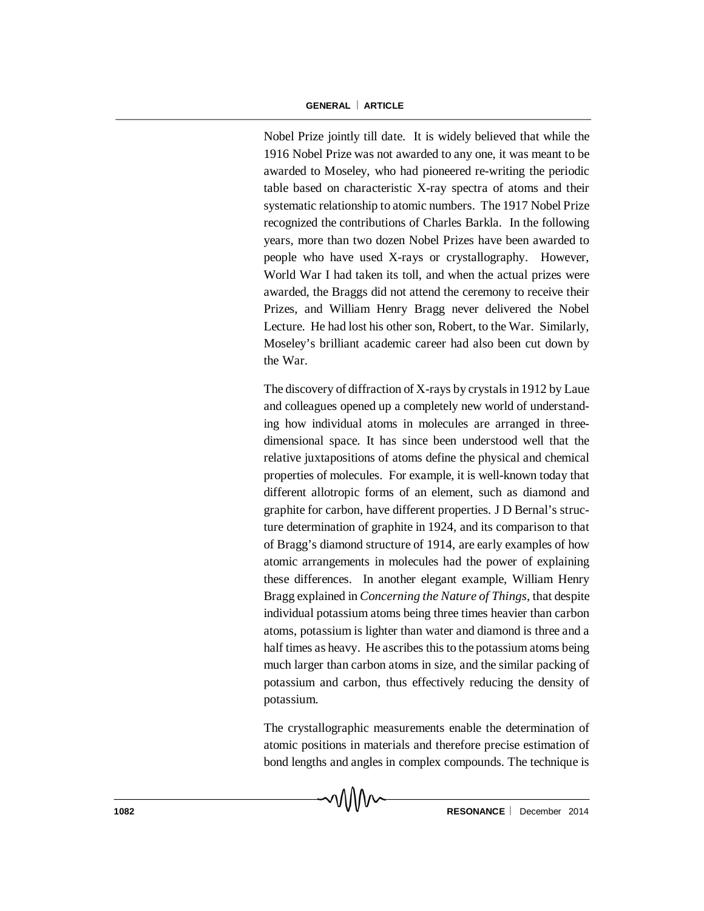Nobel Prize jointly till date. It is widely believed that while the 1916 Nobel Prize was not awarded to any one, it was meant to be awarded to Moseley, who had pioneered re-writing the periodic table based on characteristic X-ray spectra of atoms and their systematic relationship to atomic numbers. The 1917 Nobel Prize recognized the contributions of Charles Barkla. In the following years, more than two dozen Nobel Prizes have been awarded to people who have used X-rays or crystallography. However, World War I had taken its toll, and when the actual prizes were awarded, the Braggs did not attend the ceremony to receive their Prizes, and William Henry Bragg never delivered the Nobel Lecture. He had lost his other son, Robert, to the War. Similarly, Moseley's brilliant academic career had also been cut down by the War.

The discovery of diffraction of X-rays by crystals in 1912 by Laue and colleagues opened up a completely new world of understanding how individual atoms in molecules are arranged in threedimensional space. It has since been understood well that the relative juxtapositions of atoms define the physical and chemical properties of molecules. For example, it is well-known today that different allotropic forms of an element, such as diamond and graphite for carbon, have different properties. J D Bernal's structure determination of graphite in 1924, and its comparison to that of Bragg's diamond structure of 1914, are early examples of how atomic arrangements in molecules had the power of explaining these differences. In another elegant example, William Henry Bragg explained in *Concerning the Nature of Things*, that despite individual potassium atoms being three times heavier than carbon atoms, potassium is lighter than water and diamond is three and a half times as heavy. He ascribes this to the potassium atoms being much larger than carbon atoms in size, and the similar packing of potassium and carbon, thus effectively reducing the density of potassium.

The crystallographic measurements enable the determination of atomic positions in materials and therefore precise estimation of bond lengths and angles in complex compounds. The technique is

MMW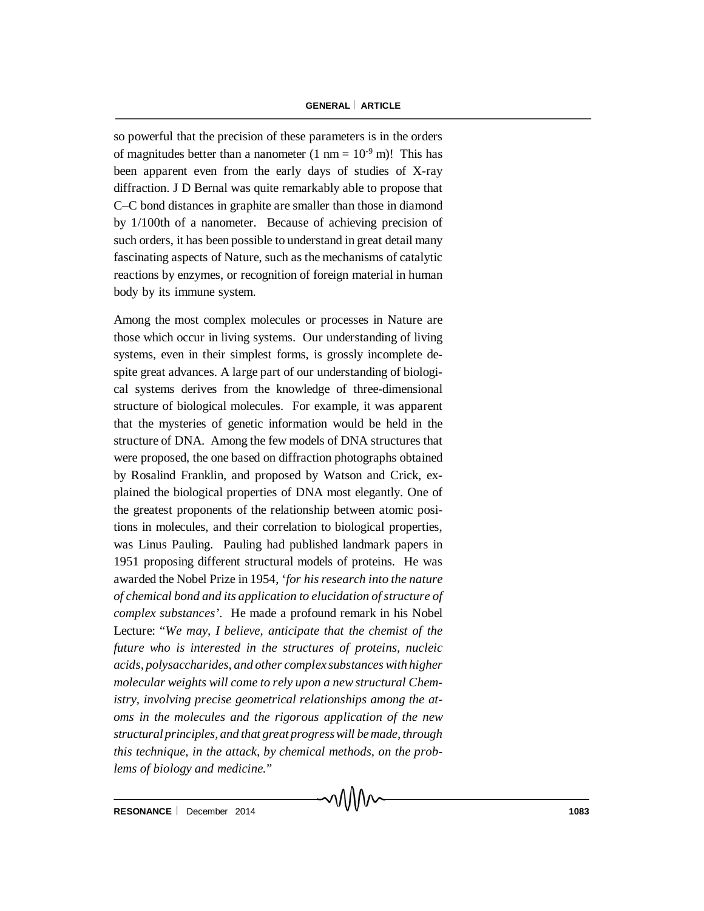so powerful that the precision of these parameters is in the orders of magnitudes better than a nanometer  $(1 \text{ nm} = 10^{-9} \text{ m})!$  This has been apparent even from the early days of studies of X-ray diffraction. J D Bernal was quite remarkably able to propose that C–C bond distances in graphite are smaller than those in diamond by 1/100th of a nanometer. Because of achieving precision of such orders, it has been possible to understand in great detail many fascinating aspects of Nature, such as the mechanisms of catalytic reactions by enzymes, or recognition of foreign material in human body by its immune system.

Among the most complex molecules or processes in Nature are those which occur in living systems. Our understanding of living systems, even in their simplest forms, is grossly incomplete despite great advances. A large part of our understanding of biological systems derives from the knowledge of three-dimensional structure of biological molecules. For example, it was apparent that the mysteries of genetic information would be held in the structure of DNA. Among the few models of DNA structures that were proposed, the one based on diffraction photographs obtained by Rosalind Franklin, and proposed by Watson and Crick, explained the biological properties of DNA most elegantly. One of the greatest proponents of the relationship between atomic positions in molecules, and their correlation to biological properties, was Linus Pauling. Pauling had published landmark papers in 1951 proposing different structural models of proteins. He was awarded the Nobel Prize in 1954, '*for his research into the nature of chemical bond and its application to elucidation of structure of complex substances'*. He made a profound remark in his Nobel Lecture: "*We may, I believe, anticipate that the chemist of the future who is interested in the structures of proteins, nucleic acids, polysaccharides, and other complex substances with higher molecular weights will come to rely upon a new structural Chemistry, involving precise geometrical relationships among the atoms in the molecules and the rigorous application of the new structural principles, and that great progress will bemade, through this technique, in the attack, by chemical methods, on the problems of biology and medicine.*"

∽∧∧∧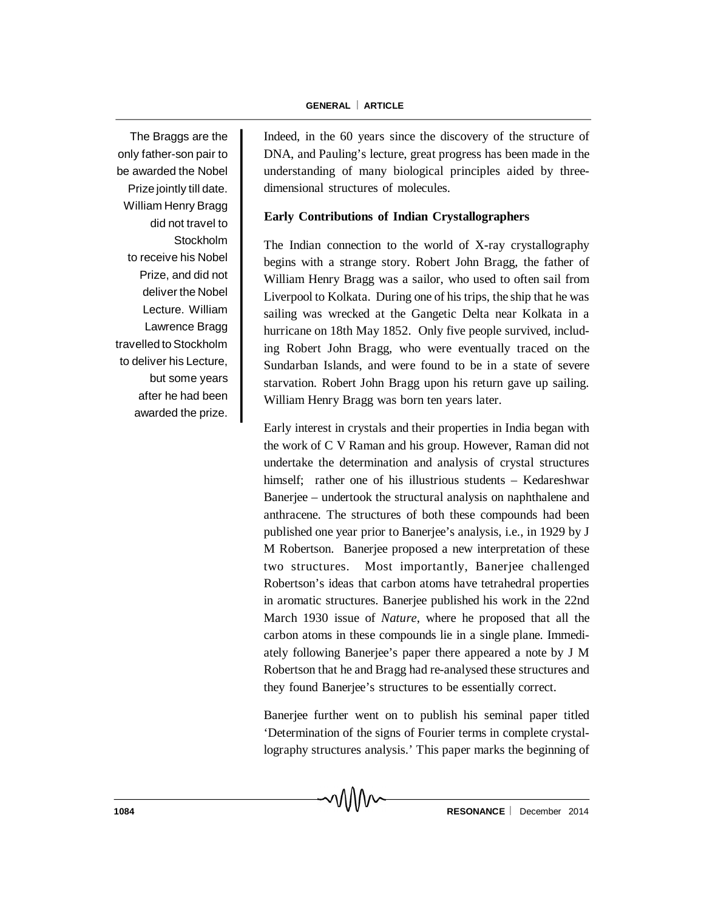The Braggs are the only father-son pair to be awarded the Nobel Prize jointly till date. William Henry Bragg did not travel to **Stockholm** to receive his Nobel Prize, and did not deliver the Nobel Lecture. William Lawrence Bragg travelled to Stockholm to deliver his Lecture, but some years after he had been awarded the prize.

Indeed, in the 60 years since the discovery of the structure of DNA, and Pauling's lecture, great progress has been made in the understanding of many biological principles aided by threedimensional structures of molecules.

## **Early Contributions of Indian Crystallographers**

The Indian connection to the world of X-ray crystallography begins with a strange story. Robert John Bragg, the father of William Henry Bragg was a sailor, who used to often sail from Liverpool to Kolkata. During one of his trips, the ship that he was sailing was wrecked at the Gangetic Delta near Kolkata in a hurricane on 18th May 1852. Only five people survived, including Robert John Bragg, who were eventually traced on the Sundarban Islands, and were found to be in a state of severe starvation. Robert John Bragg upon his return gave up sailing. William Henry Bragg was born ten years later.

Early interest in crystals and their properties in India began with the work of C V Raman and his group. However, Raman did not undertake the determination and analysis of crystal structures himself: rather one of his illustrious students – Kedareshwar Banerjee – undertook the structural analysis on naphthalene and anthracene. The structures of both these compounds had been published one year prior to Banerjee's analysis, i.e., in 1929 by J M Robertson. Banerjee proposed a new interpretation of these two structures. Most importantly, Banerjee challenged Robertson's ideas that carbon atoms have tetrahedral properties in aromatic structures. Banerjee published his work in the 22nd March 1930 issue of *Nature*, where he proposed that all the carbon atoms in these compounds lie in a single plane. Immediately following Banerjee's paper there appeared a note by J M Robertson that he and Bragg had re-analysed these structures and they found Banerjee's structures to be essentially correct.

Banerjee further went on to publish his seminal paper titled 'Determination of the signs of Fourier terms in complete crystallography structures analysis.' This paper marks the beginning of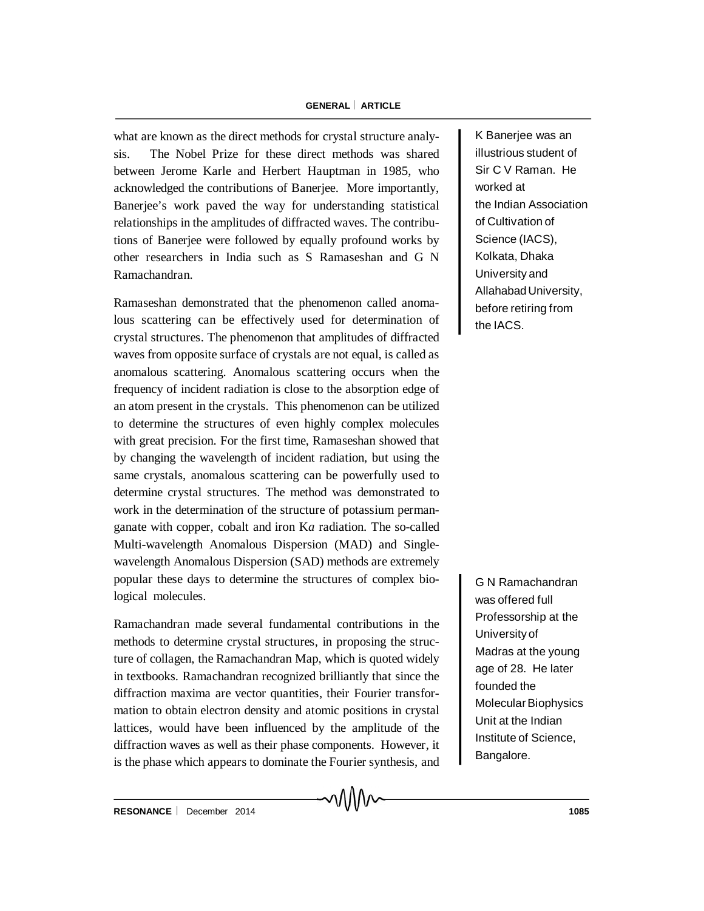what are known as the direct methods for crystal structure analysis. The Nobel Prize for these direct methods was shared between Jerome Karle and Herbert Hauptman in 1985, who acknowledged the contributions of Banerjee. More importantly, Banerjee's work paved the way for understanding statistical relationships in the amplitudes of diffracted waves. The contributions of Banerjee were followed by equally profound works by other researchers in India such as S Ramaseshan and G N Ramachandran.

Ramaseshan demonstrated that the phenomenon called anomalous scattering can be effectively used for determination of crystal structures. The phenomenon that amplitudes of diffracted waves from opposite surface of crystals are not equal, is called as anomalous scattering. Anomalous scattering occurs when the frequency of incident radiation is close to the absorption edge of an atom present in the crystals. This phenomenon can be utilized to determine the structures of even highly complex molecules with great precision. For the first time, Ramaseshan showed that by changing the wavelength of incident radiation, but using the same crystals, anomalous scattering can be powerfully used to determine crystal structures. The method was demonstrated to work in the determination of the structure of potassium permanganate with copper, cobalt and iron K*a* radiation. The so-called Multi-wavelength Anomalous Dispersion (MAD) and Singlewavelength Anomalous Dispersion (SAD) methods are extremely popular these days to determine the structures of complex biological molecules.

Ramachandran made several fundamental contributions in the methods to determine crystal structures, in proposing the structure of collagen, the Ramachandran Map, which is quoted widely in textbooks. Ramachandran recognized brilliantly that since the diffraction maxima are vector quantities, their Fourier transformation to obtain electron density and atomic positions in crystal lattices, would have been influenced by the amplitude of the diffraction waves as well as their phase components. However, it is the phase which appears to dominate the Fourier synthesis, and

K Banerjee was an illustrious student of Sir C V Raman. He worked at the Indian Association of Cultivation of Science (IACS), Kolkata, Dhaka University and AllahabadUniversity, before retiring from the IACS.

G N Ramachandran was offered full Professorship at the University of Madras at the young age of 28. He later founded the Molecular Biophysics Unit at the Indian Institute of Science, Bangalore.